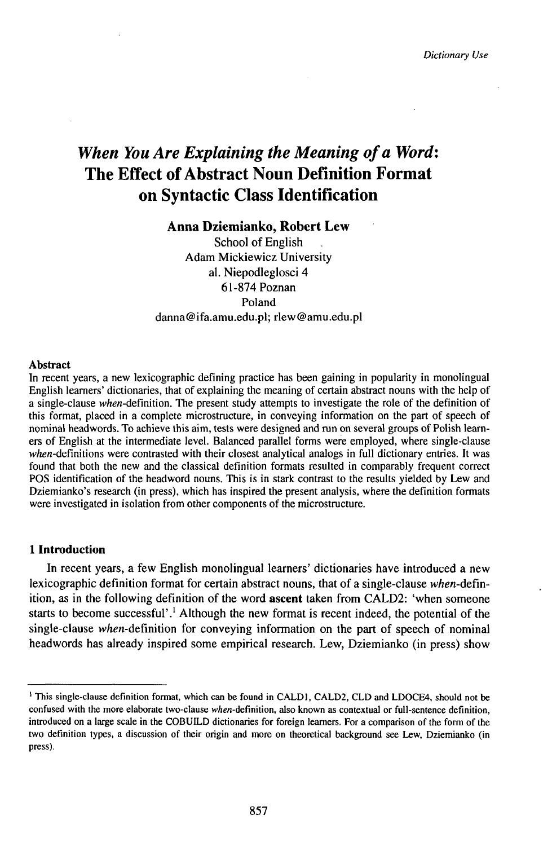*Dictionary Use*

# *When You Are Explaining the Meaning ofa Word:* The Effect of Abstract Noun Definition Format on Syntactic Class Identification

## **Anna Dziemianko, Robert Lew**

School of English Adam Mickiewicz University al. Niepodleglosci 4 61-874 Poznan Poland danna@ifa.amu.edu.pl; rlew@amu.edu.pl

### Abstract

In recent years, a new lexicographic defining practice has been gaining in popularity in monolingual English learners' dictionaries, that of explaining the meaning of certain abstract nouns with the help of a single-clause when-definition. The present study attempts to investigate the role of the definition of this format, placed in a complete microstracture, in conveying information on the part of speech of nominal headwords. To achieve this aim, tests were designed and ran on several groups of Polish learners of English at the intermediate level. Balanced parallel forms were employed, where single-clause when-definitions were contrasted with their closest analytical analogs in full dictionary entries. It was found that both the new and the classical definition formats resulted in comparably frequent correct POS identification of the headword nouns. This is in stark contrast to the results yielded by Lew and Dziemianko's research (in press), which has inspired the present analysis, where the definition formats were investigated in isolation from other components of the microstructure.

# **1 Introduction**

In recent years, a few English monolingual learners' dictionaries have introduced a new lexicographic definition format for certain abstract nouns, that of a single-clause *when*-definition, as in the following definition of the word **ascent** taken from CALD2: 'when someone starts to become successful'.<sup>1</sup> Although the new format is recent indeed, the potential of the single-clause when-definition for conveying information on the part of speech of nominal headwords has already inspired some empirical research. Lew, Dziemianko (in press) show

<sup>&</sup>lt;sup>1</sup> This single-clause definition format, which can be found in CALD1, CALD2, CLD and LDOCE4, should not be confused with the more elaborate two-clause *when-defìnition,* also known as contextual or full-sentence definition, introduced on a large scale in the COBUILD dictionaries for foreign learners. For a comparison of the form of the two definition types, a discussion of their origin and more on theoretical background see Lew, Dziemianko (in press).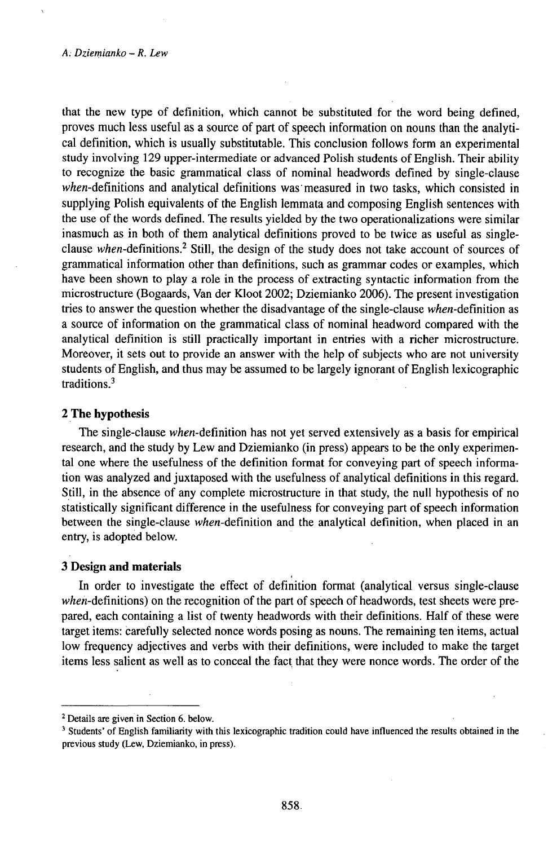#### A. *Dziemianko* - *R. Lew*

that the new type of definition, which cannot be substituted for the word being defined, proves much less useful as a source of part of speech information on nouns than the analytical definition, which is usually substitutable. This conclusion follows form an experimental study involving 129 upper-intermediate or advanced Polish students of English. Their ability to recognize the basic grammatical class of nominal headwords defined by single-clause when-definitions and analytical definitions was measured in two tasks, which consisted in supplying Polish equivalents of the English lemmata and composing English sentences with the use of the words defined. Thę results yielded by the two operationalizations were similar inasmuch as in both of them analytical definitions proved to be twice as useful as singleclause when-definitions.<sup>2</sup> Still, the design of the study does not take account of sources of grammatical information other than definitions, such as grammar codes or examples, which have been shown to play a role in the process of extracting syntactic information from the microstructure (Bogaards, Van der Kloot 2002; Dziemianko 2006). The present investigation tries to answer the question whether the disadvantage of the single-clause when-definition as a source of information on the grammatical class of nominal headword compared with the analytical definition is still practically important in entries with a richer microstructure. Moreover, it sets out to provide an answer with the help of subjects who are not university students of English, and thus may be assumed to be largely ignorant of English lexicographic traditions.<sup>3</sup>

## **2 The hypothesis**

The single-clause when-definition has not yet served extensively as a basis for empirical research, and the study by Lew and Dziemianko (in press) appears to be the only experimental one where the usefulness of the definition format for conveying part of speech information was analyzed and juxtaposed with the usefulness of analytical definitions in this regard. Still, in the absence of any complete microstructure in that study, the null hypothesis of no statistically significant difference in the usefulness for conveying part of speech information between the single-clause *when*-definition and the analytical definition, when placed in an entry, is adopted below.

#### **3 Design and materials**

In order to investigate the effect of definition format (analytical versus single-clause when-definitions) on the recognition of the part of speech of headwords, test sheets were prepared, each containing a list of twenty headwords with their definitions. Half of these were target items: carefully selected nonce words posing as nouns. The remaining ten items, actual low frequency adjectives and verbs with their definitions, were included to make the target items less salient as well as to conceal the fact that they were nonce words. The order of the

<sup>2</sup> Details are given in Section 6. below.

<sup>&</sup>lt;sup>3</sup> Students' of English familiarity with this lexicographic tradition could have influenced the results obtained in the previous study (Lew, Dziemianko, in press).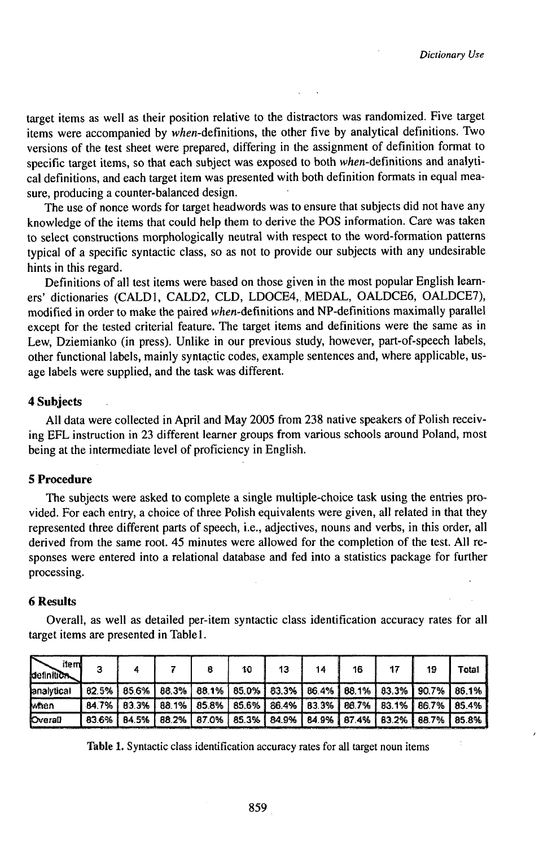target items as well as their position relative to the distractors was randomized. Five target items were accompanied by when-definitions, the other five by analytical definitions. Two versions of the test sheet were prepared, differing in the assignment of definition format to specific target items, so that each subject was exposed to both when-definitions and analytical definitions, and each target item was presented with both definition formats in equal measure, producing a counter-balanced design.

The use of nonce words for target headwords was to ensure that subjects did not have any knowledge of the items that could help them to derive the POS information. Care was taken to select constructions morphologically neutral with respect to the word-formation patterns typical of a specific syntactic class, so as not to provide our subjects with any undesirable hints in this regard.

Definitions of all test items were based on those given in the most popular English learners' dictionaries (CALD1, CALD2, CLD, LDOCE4, MEDAL, OALDCE6, OALDCE7), modified in order to make the paired when-definitions and NP-definitions maximally parallel except for the tested criterial feature. The target items and definitions were the same as in Lew, Dziemianko (in press). Unlike in our previous study, however, part-of-speech labels, other functional labels, mainly syntactic codes, example sentences and, where applicable, usage labels were supplied, and the task was different.

# **4 Subjects**

All data were collected in April and May 2005 from 238 native speakers of Polish receiving EFL instruction in 23 different learner groups from various schools around Poland, most being at the intermediate level of proficiency in English.

# **5 Procedure**

The subjects were asked to complete a single multiple-choice task using the entries provided. For each entry, a choice of three Polish equivalents were given, all related in that they represented three different parts of speech, i.e., adjectives, nouns and verbs, in this order, all derived from the same root. 45 minutes were allowed for the completion of the test. All responses were entered into a relational database and fed into a statistics package for further processing.

## **6 Results**

Overall, as well as detailed per-item syntactic class identification accuracy rates for all target items are presented in Tablel.

| item<br><b>definition</b> |  |  | 10 | -13- | 14 | 16 | 19                                                                                    | Total |
|---------------------------|--|--|----|------|----|----|---------------------------------------------------------------------------------------|-------|
| lanalytical               |  |  |    |      |    |    | 82.5%   85.6%   88.3%   88.1%   85.0%   83.3%   86.4%   88.1%   83.3%   90.7%   86.1% |       |
| Maen                      |  |  |    |      |    |    | 84.7%   83.3%   88.1%   85.8%   85.6%   86.4%   83.3%   86.7%   83.1%   86.7%   85.4% |       |
| <b>Overall</b>            |  |  |    |      |    |    | 83.6%   84.5%   88.2%   87.0%   85.3%   84.9%   84.9%   87.4%   83.2%   88.7%   85.8% |       |

**Table** 1. Syntactic class identification accuracy rates for all target noun items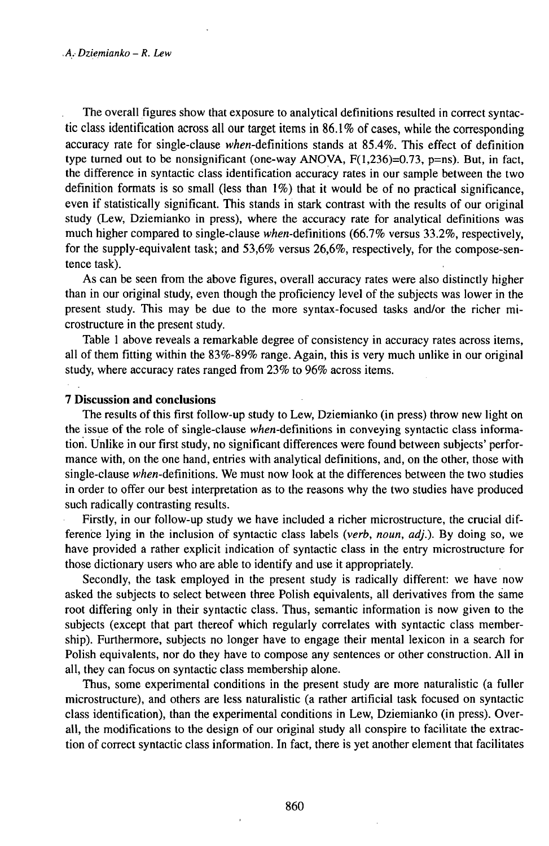The overall figures show that exposure to analytical definitions resulted in correct syntactic class identification across all our target items in  $86.1\%$  of cases, while the corresponding accuracy rate for single-clause when-definitions stands at 85.4%. This effect of definition type turned out to be nonsignificant (one-way ANOVA,  $F(1,236)=0.73$ , p=ns). But, in fact, the difference in syntactic class identification accuracy rates in our sample between the two definition formats is so small (less than 1%) that it would be of no practical significance, even if statistically significant. This stands in stark contrast with the results of our original study (Lew, Dziemianko in press), where the accuracy rate for analytical definitions was much higher compared to single-clause when-definitions  $(66.7\%$  versus 33.2%, respectively, for the supply-equivalent task; and 53,6% versus 26,6%, respectively, for the compose-sentence task).

As can be seen from the above figures, overall accuracy rates were also distinctly higher than in our original study, even though the proficiency level of the subjects was lower in the present study. This may be due to the more syntax-focused tasks and/or the richer microstructure in the present study.

Table <sup>1</sup> above reveals a remarkable degree of consistency in accuracy rates across items, all of them fitting within the  $83\%$ -89% range. Again, this is very much unlike in our original study, where accuracy rates ranged from 23% to 96% across items.

### **7 Discussion and conclusions**

The results of this first follow-up study to Lew, Dziemianko (in press) throw new light on the issue of the role of single-clause when-definitions in conveying syntactic class information. Unlike in our first study, no significant differences were found between subjects' performance with, on the one hand, entries with analytical definitions, and, on the other, those with single-clause when-definitions. We must now look at the differences between the two studies in order to offer our best interpretation as to the reasons why the two studies have produced such radically contrasting results.

Firstly, in our follow-up study we have included a richer microstructure, the crucial difference lying in the inclusion of syntactic class labels *(verb, noun, adj.).* By doing so, we have provided a rather explicit indication of syntactic class in the entry microstructure for those dictionary users who are able to identify and use it appropriately.

Secondly, the task employed in the present study is radically different: we have now asked the subjects to select between three Polish equivalents, all derivatives from the same root differing only in their syntactic class. Thus, semantic information is now given to the subjects (except that part thereof which regularly correlates with syntactic class membership). Furthermore, subjects no longer have to engage their mental lexicon in a search for Polish equivalents, nor do they have to compose any sentences or other construction. All in all, they can focus on syntactic class membership alone.

Thus, some experimental conditions in the present study are more naturalistic (a fuller microstructure), and others are less naturalistic (a rather artificial task focused on syntactic class identification), than the experimental conditions in Lew, Dziemianko (in press). Overall, the modifications to the design of our original study all conspire to facilitate the extraction of correct syntactic class information. In fact, there is yet another element that facilitates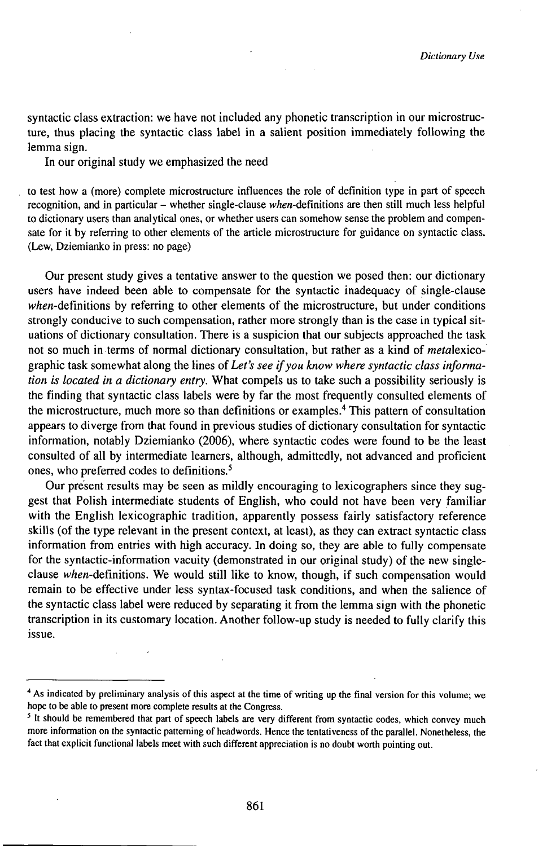syntactic class extraction: we have not included any phonetic transcription in our microstructure, thus placing the syntactic class label in a salient position immediately following the lemma sign.

In our original study we emphasized the need

to test how a (more) complete microstructure influences the role of definition type in part of speech recognition, and in particular – whether single-clause when-definitions are then still much less helpful to dictionary users than analytical ones, or whether users can somehow sense the problem and compensate for it by referring to other elements of the article microstructure for guidance on syntactic class. (Lew, Dziemianko in press: no page)

Our present study gives a tentative answer to the question we posed then: our dictionary users have indeed been able to compensate for the syntactic inadequacy of single-clause  $when$ -definitions by referring to other elements of the microstructure, but under conditions strongly conducive to such compensation, rather more strongly than is the case in typical situations of dictionary consultation. There is a suspicion that our subjects approached the task not so much in terms of normal dictionary consultation, but rather as a kind of metalexicographic task somewhat along the lines *ofLet's see ifyou know where syntactic class information is located in a dictionary entry.* What compels us to take such a possibility seriously is the finding that syntactic class labels were by far the most frequently consulted elements of the microstructure, much more so than definitions or examples.<sup>4</sup> This pattern of consultation appears to diverge from that found in previous studies of dictionary consultation for syntactic information, notably Dziemianko (2006), where syntactic codes were found to be the least consulted of all by intermediate learners, although, admittedly, not advanced and proficient ones, who preferred codes to definitions.<sup>5</sup>

Our present results may be seen as mildly encouraging to lexicographers since they suggest that Polish intermediate students of English, who could not have been very familiar with the English lexicographic tradition, apparently possess fairly satisfactory reference skills (of the type relevant in the present context, at least), as they can extract syntactic class information from entries with high accuracy. In doing so, they are able to fully compensate for the syntactic-information vacuity (demonstrated in our original study) of the new singleclause when-definitions. We would still like to know, though, if such compensation would remain to be effective under less syntax-focused task conditions, and when the salience of the syntactic class label were reduced by separating it from the lemma sign with the phonetic transcription in its customary location. Another follow-up study is needed to fully clarify this issue.

<sup>&</sup>lt;sup>4</sup> As indicated by preliminary analysis of this aspect at the time of writing up the final version for this volume; we hope to be able to present more complete results at the Congress.

<sup>&</sup>lt;sup>5</sup> It should be remembered that part of speech labels are very different from syntactic codes, which convey much more information on the syntactic patterning of headwords. Hence the tentativeness of the parallel. Nonetheless, the fact that explicit functional labels meet with such different appreciation is no doubt worth pointing out.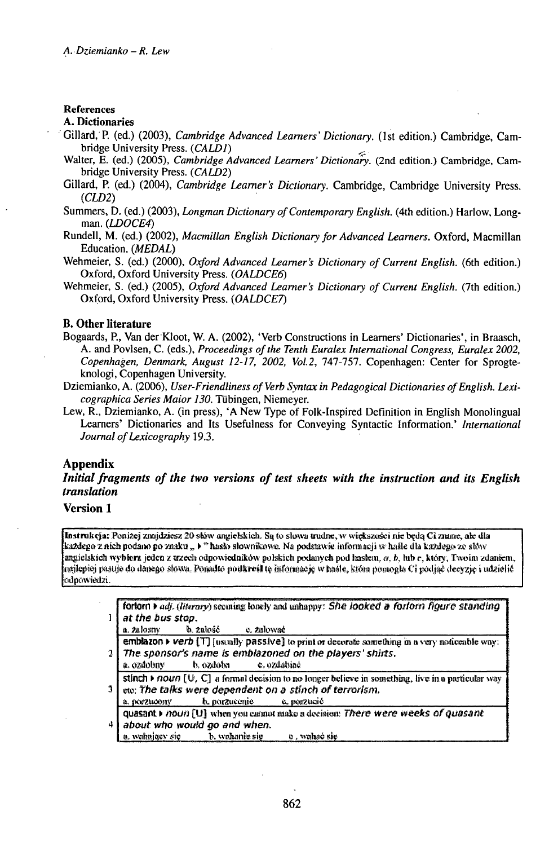## **References**

#### **A. Dictionaries**

- Gillard,P. (ed.) (2003), *Cambridge Advanced Learners'Dictionary.* (1st edition.) Cambridge, Cambridge University Press. *(CALD1)* ^
- Walter, E. (ed.) (2005), *Cambridge Advanced Learners' Dictionary*. (2nd edition.) Cambridge, Cambridge University Press. *{CALD2)*
- Gillard, P. (ed.) (2004), *Cambridge Learner's Dictionary.* Cambridge, Cambridge University Press. *{CLD2)*
- Summers, D. (ed.) (2003), *Longman Dictionary ofContemporary English,* (4th edition.) Harlow, Longman. *{LD0CE4)*
- Rundell, M. (ed.) (2002), *Macmillan English DictionaryforAdvanced Learners.* Oxford, Macmillan Education. *(MEDAL)*
- Wehmeier, S. (ed.) (2000), *Oxford Advanced Learner's Dictionary of Current English.* (6th edition.) Oxford, Oxford University Press. *(0ALDCE6)*
- Wehmeier, S. (ed.) (2005), *Oxford Advanced Learner's Dictionary of Current English.* (7th edition.) Oxford, Oxford University Press. *{OALDCE7)*

#### **B. Other literature**

- Bogaards, P., Van der Kloot, W. A. (2002), 'Verb Constructions in Learners' Dictionaries', in Braasch, A. and Povlsen, C. (eds.), *Proceedings ofthe Tenth Euralex International Congress, Euralex 2002, Copenhagen, Denmark, August 12-17, 2002, Vol.2,* 747-757. Copenhagen: Center for Sprogteknologi, Copenhagen University.
- Dziemianko, A. (2006), *User-Friendliness of Verb Syntax in Pedagogical Dictionaries of English. Lexicographica Series Maior 130.* Tübingen, Niemeyer.
- Lew, R., Dziemianko, A. (in press), 'A New Type of Folk-Inspired Definition in English Monolingual Learners' Dictionaries and Its Usefulness for Conveying Syntactic Information.' *International Journal of Lexicography* 19.3.

#### **Appendix**

*Initial fragments of the two versions of test sheets with the instruction and its English transhition*

## **Version 1**

Instrukcja: Poniżej znajdziesz 20 słów angielskich. Są to słowa trudne, w większości nie będą Ci znane, ale dla<br>każdego z nich podano po znaku " k" hasko słownikowe. Na podstawie informacji w haste dla każdego ze słów Kazdego z nich podano po znaku " ) " nasto słownikowe. Na podstawie intomacji w naste dla kazdego ze stów<br>imgielskich wyblera jeden z trzech odpowiedników polskich podanych pod hastem, a, b, lub c, który. Twoim zdaniem,<br>m ňďpůwiadži.

|   | forlorn > adj. (literary) seeming lonely and unhappy: She looked a forforn figure standing                 |  |  |  |  |  |  |
|---|------------------------------------------------------------------------------------------------------------|--|--|--|--|--|--|
|   | at the bus stop.                                                                                           |  |  |  |  |  |  |
|   | b. 2alošč – c. 2alować<br>a. zalosny                                                                       |  |  |  |  |  |  |
| 2 | emblazon $\rightarrow$ verb [T] [usually passive] to print or decorate something in a very noticeable way: |  |  |  |  |  |  |
|   | The sponsor's name is emblazoned on the players' shirts.                                                   |  |  |  |  |  |  |
|   | b. ozdoba<br>e, ozdabiać<br>a. ozdobny                                                                     |  |  |  |  |  |  |
|   | stinch $\ast$ noun [U, C] a formal decision to no longer believe in something, live in a particular way    |  |  |  |  |  |  |
|   | etc: The talks were dependent on a stinch of terrorism.                                                    |  |  |  |  |  |  |
|   | b. porzucenie c. porzucić<br>a. IKKZMOOBY                                                                  |  |  |  |  |  |  |
|   | quasant roun [U] when you cannot make a decision: There were weeks of quasant                              |  |  |  |  |  |  |
|   | about who would go and when.                                                                               |  |  |  |  |  |  |
|   | a, wahający się b, wahanie się<br>– o , wahoć sie                                                          |  |  |  |  |  |  |